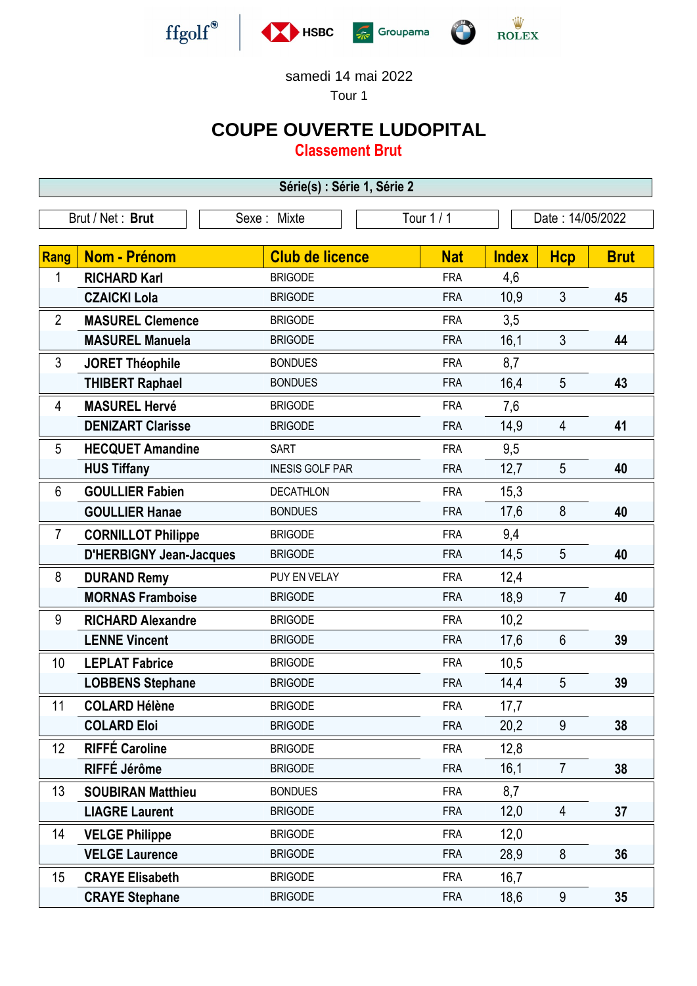

samedi 14 mai 2022

Tour 1

## **COUPE OUVERTE LUDOPITAL**

**Classement Brut**

**Série(s) : Série 1, Série 2**

|                 | Brut / Net: Brut               | Tour 1 / 1<br>Sexe: Mixte |            | Date: 14/05/2022 |                |             |
|-----------------|--------------------------------|---------------------------|------------|------------------|----------------|-------------|
|                 |                                |                           |            |                  |                |             |
| Rang            | <b>Nom - Prénom</b>            | <b>Club de licence</b>    | <b>Nat</b> | <b>Index</b>     | <b>Hcp</b>     | <b>Brut</b> |
| 1               | <b>RICHARD Karl</b>            | <b>BRIGODE</b>            | <b>FRA</b> | 4,6              |                |             |
|                 | <b>CZAICKI Lola</b>            | <b>BRIGODE</b>            | <b>FRA</b> | 10,9             | $\mathfrak{Z}$ | 45          |
| $\overline{2}$  | <b>MASUREL Clemence</b>        | <b>BRIGODE</b>            | <b>FRA</b> | 3,5              |                |             |
|                 | <b>MASUREL Manuela</b>         | <b>BRIGODE</b>            | <b>FRA</b> | 16,1             | $\mathfrak{Z}$ | 44          |
| 3               | <b>JORET Théophile</b>         | <b>BONDUES</b>            | <b>FRA</b> | 8,7              |                |             |
|                 | <b>THIBERT Raphael</b>         | <b>BONDUES</b>            | <b>FRA</b> | 16,4             | 5              | 43          |
| 4               | <b>MASUREL Hervé</b>           | <b>BRIGODE</b>            | <b>FRA</b> | 7,6              |                |             |
|                 | <b>DENIZART Clarisse</b>       | <b>BRIGODE</b>            | <b>FRA</b> | 14,9             | 4              | 41          |
| 5               | <b>HECQUET Amandine</b>        | <b>SART</b>               | <b>FRA</b> | 9,5              |                |             |
|                 | <b>HUS Tiffany</b>             | <b>INESIS GOLF PAR</b>    | <b>FRA</b> | 12,7             | 5              | 40          |
| $6\phantom{1}6$ | <b>GOULLIER Fabien</b>         | <b>DECATHLON</b>          | <b>FRA</b> | 15,3             |                |             |
|                 | <b>GOULLIER Hanae</b>          | <b>BONDUES</b>            | <b>FRA</b> | 17,6             | 8              | 40          |
| $\overline{7}$  | <b>CORNILLOT Philippe</b>      | <b>BRIGODE</b>            | <b>FRA</b> | 9,4              |                |             |
|                 | <b>D'HERBIGNY Jean-Jacques</b> | <b>BRIGODE</b>            | <b>FRA</b> | 14,5             | 5              | 40          |
| 8               | <b>DURAND Remy</b>             | PUY EN VELAY              | <b>FRA</b> | 12,4             |                |             |
|                 | <b>MORNAS Framboise</b>        | <b>BRIGODE</b>            | <b>FRA</b> | 18,9             | $\overline{7}$ | 40          |
| 9               | <b>RICHARD Alexandre</b>       | <b>BRIGODE</b>            | <b>FRA</b> | 10,2             |                |             |
|                 | <b>LENNE Vincent</b>           | <b>BRIGODE</b>            | <b>FRA</b> | 17,6             | $6\phantom{1}$ | 39          |
| 10              | <b>LEPLAT Fabrice</b>          | <b>BRIGODE</b>            | <b>FRA</b> | 10,5             |                |             |
|                 | <b>LOBBENS Stephane</b>        | <b>BRIGODE</b>            | <b>FRA</b> | 14,4             | 5              | 39          |
| 11              | <b>COLARD Hélène</b>           | <b>BRIGODE</b>            | <b>FRA</b> | 17,7             |                |             |
|                 | <b>COLARD Eloi</b>             | <b>BRIGODE</b>            | <b>FRA</b> | 20,2             | 9              | 38          |
| 12              | <b>RIFFÉ Caroline</b>          | <b>BRIGODE</b>            | <b>FRA</b> | 12,8             |                |             |
|                 | RIFFÉ Jérôme                   | <b>BRIGODE</b>            | <b>FRA</b> | 16,1             | $\overline{7}$ | 38          |
| 13              | <b>SOUBIRAN Matthieu</b>       | <b>BONDUES</b>            | <b>FRA</b> | 8,7              |                |             |
|                 | <b>LIAGRE Laurent</b>          | <b>BRIGODE</b>            | <b>FRA</b> | 12,0             | 4              | 37          |
| 14              | <b>VELGE Philippe</b>          | <b>BRIGODE</b>            | <b>FRA</b> | 12,0             |                |             |
|                 | <b>VELGE Laurence</b>          | <b>BRIGODE</b>            | <b>FRA</b> | 28,9             | 8              | 36          |
| 15              | <b>CRAYE Elisabeth</b>         | <b>BRIGODE</b>            | <b>FRA</b> | 16,7             |                |             |
|                 | <b>CRAYE Stephane</b>          | <b>BRIGODE</b>            | <b>FRA</b> | 18,6             | 9              | 35          |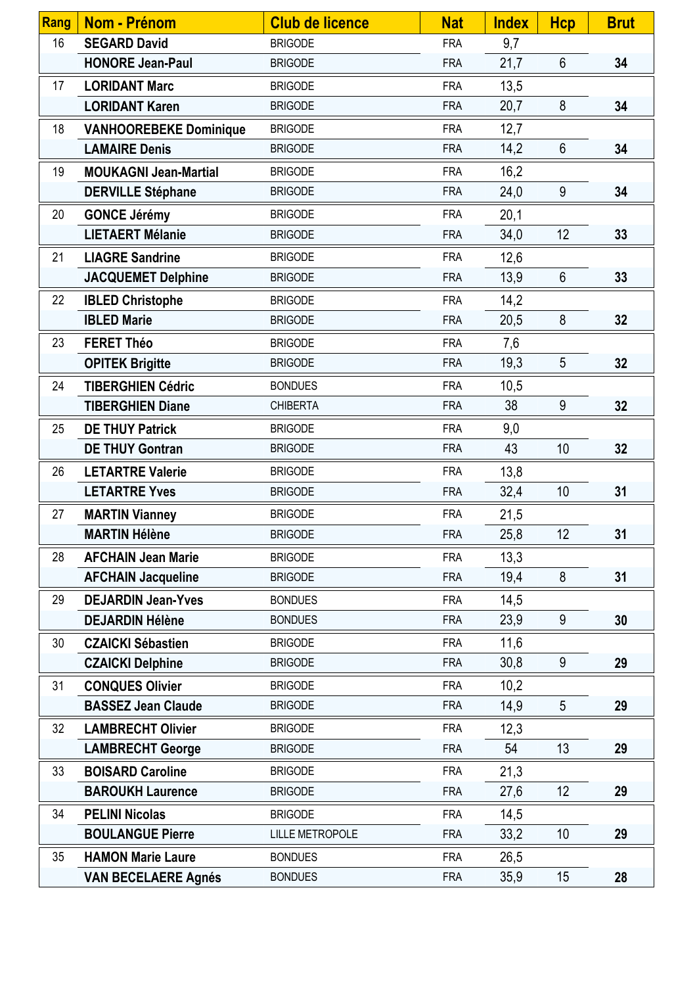| <b>Rang</b> | Nom - Prénom                  | <b>Club de licence</b> | <b>Nat</b> | <b>Index</b> | <b>Hcp</b>      | <b>Brut</b> |
|-------------|-------------------------------|------------------------|------------|--------------|-----------------|-------------|
| 16          | <b>SEGARD David</b>           | <b>BRIGODE</b>         | <b>FRA</b> | 9,7          |                 |             |
|             | <b>HONORE Jean-Paul</b>       | <b>BRIGODE</b>         | <b>FRA</b> | 21,7         | $6\phantom{.}6$ | 34          |
| 17          | <b>LORIDANT Marc</b>          | <b>BRIGODE</b>         | <b>FRA</b> | 13,5         |                 |             |
|             | <b>LORIDANT Karen</b>         | <b>BRIGODE</b>         | <b>FRA</b> | 20,7         | 8               | 34          |
| 18          | <b>VANHOOREBEKE Dominique</b> | <b>BRIGODE</b>         | <b>FRA</b> | 12,7         |                 |             |
|             | <b>LAMAIRE Denis</b>          | <b>BRIGODE</b>         | <b>FRA</b> | 14,2         | $6\phantom{1}$  | 34          |
| 19          | <b>MOUKAGNI Jean-Martial</b>  | <b>BRIGODE</b>         | <b>FRA</b> | 16,2         |                 |             |
|             | <b>DERVILLE Stéphane</b>      | <b>BRIGODE</b>         | <b>FRA</b> | 24,0         | 9               | 34          |
| 20          | <b>GONCE Jérémy</b>           | <b>BRIGODE</b>         | <b>FRA</b> | 20,1         |                 |             |
|             | <b>LIETAERT Mélanie</b>       | <b>BRIGODE</b>         | <b>FRA</b> | 34,0         | 12              | 33          |
| 21          | <b>LIAGRE Sandrine</b>        | <b>BRIGODE</b>         | <b>FRA</b> | 12,6         |                 |             |
|             | <b>JACQUEMET Delphine</b>     | <b>BRIGODE</b>         | <b>FRA</b> | 13,9         | $6\phantom{1}$  | 33          |
| 22          | <b>IBLED Christophe</b>       | <b>BRIGODE</b>         | <b>FRA</b> | 14,2         |                 |             |
|             | <b>IBLED Marie</b>            | <b>BRIGODE</b>         | <b>FRA</b> | 20,5         | 8               | 32          |
| 23          | <b>FERET Théo</b>             | <b>BRIGODE</b>         | <b>FRA</b> | 7,6          |                 |             |
|             | <b>OPITEK Brigitte</b>        | <b>BRIGODE</b>         | <b>FRA</b> | 19,3         | 5               | 32          |
| 24          | <b>TIBERGHIEN Cédric</b>      | <b>BONDUES</b>         | <b>FRA</b> | 10,5         |                 |             |
|             | <b>TIBERGHIEN Diane</b>       | <b>CHIBERTA</b>        | <b>FRA</b> | 38           | 9               | 32          |
| 25          | <b>DE THUY Patrick</b>        | <b>BRIGODE</b>         | <b>FRA</b> | 9,0          |                 |             |
|             | <b>DE THUY Gontran</b>        | <b>BRIGODE</b>         | <b>FRA</b> | 43           | 10              | 32          |
| 26          | <b>LETARTRE Valerie</b>       | <b>BRIGODE</b>         | <b>FRA</b> | 13,8         |                 |             |
|             | <b>LETARTRE Yves</b>          | <b>BRIGODE</b>         | <b>FRA</b> | 32,4         | 10              | 31          |
| 27          | <b>MARTIN Vianney</b>         | <b>BRIGODE</b>         | <b>FRA</b> | 21,5         |                 |             |
|             | <b>MARTIN Hélène</b>          | <b>BRIGODE</b>         | <b>FRA</b> | 25,8         | 12              | 31          |
| 28          | <b>AFCHAIN Jean Marie</b>     | <b>BRIGODE</b>         | <b>FRA</b> | 13,3         |                 |             |
|             | <b>AFCHAIN Jacqueline</b>     | <b>BRIGODE</b>         | <b>FRA</b> | 19,4         | 8               | 31          |
| 29          | <b>DEJARDIN Jean-Yves</b>     | <b>BONDUES</b>         | <b>FRA</b> | 14,5         |                 |             |
|             | <b>DEJARDIN Hélène</b>        | <b>BONDUES</b>         | <b>FRA</b> | 23,9         | 9               | 30          |
| 30          | <b>CZAICKI Sébastien</b>      | <b>BRIGODE</b>         | <b>FRA</b> | 11,6         |                 |             |
|             | <b>CZAICKI Delphine</b>       | <b>BRIGODE</b>         | <b>FRA</b> | 30,8         | 9               | 29          |
| 31          | <b>CONQUES Olivier</b>        | <b>BRIGODE</b>         | <b>FRA</b> | 10,2         |                 |             |
|             | <b>BASSEZ Jean Claude</b>     | <b>BRIGODE</b>         | <b>FRA</b> | 14,9         | 5               | 29          |
| 32          | <b>LAMBRECHT Olivier</b>      | <b>BRIGODE</b>         | <b>FRA</b> | 12,3         |                 |             |
|             | <b>LAMBRECHT George</b>       | <b>BRIGODE</b>         | <b>FRA</b> | 54           | 13              | 29          |
| 33          | <b>BOISARD Caroline</b>       | <b>BRIGODE</b>         | <b>FRA</b> | 21,3         |                 |             |
|             | <b>BAROUKH Laurence</b>       | <b>BRIGODE</b>         | <b>FRA</b> | 27,6         | 12              | 29          |
| 34          | <b>PELINI Nicolas</b>         | <b>BRIGODE</b>         | <b>FRA</b> | 14,5         |                 |             |
|             | <b>BOULANGUE Pierre</b>       | <b>LILLE METROPOLE</b> | <b>FRA</b> | 33,2         | 10              | 29          |
| 35          | <b>HAMON Marie Laure</b>      | <b>BONDUES</b>         | <b>FRA</b> | 26,5         |                 |             |
|             | <b>VAN BECELAERE Agnés</b>    | <b>BONDUES</b>         | <b>FRA</b> | 35,9         | 15              | 28          |